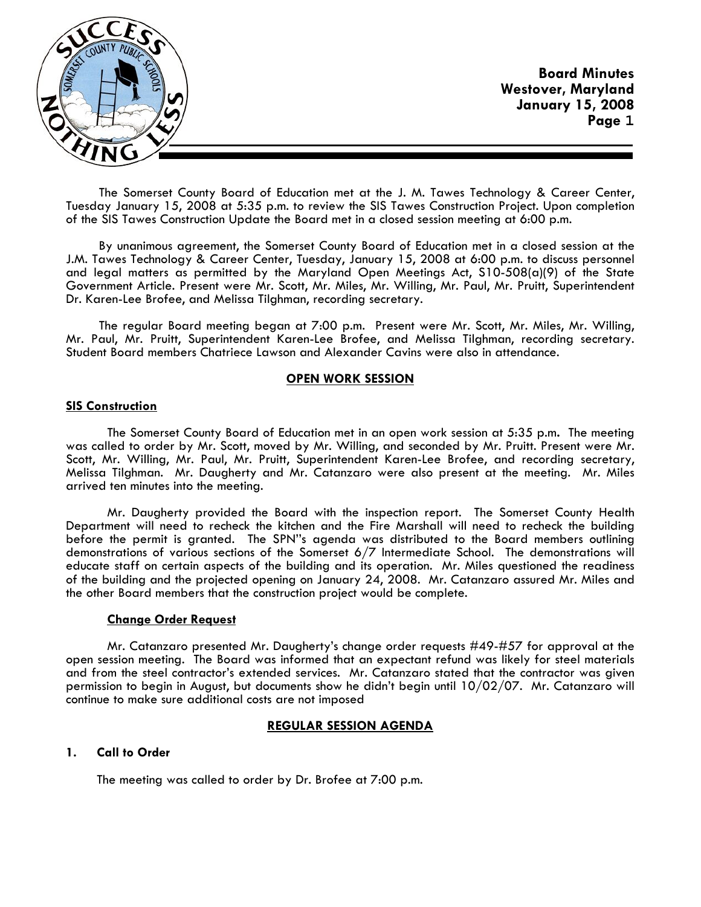

The Somerset County Board of Education met at the J. M. Tawes Technology & Career Center, Tuesday January 15, 2008 at 5:35 p.m. to review the SIS Tawes Construction Project. Upon completion of the SIS Tawes Construction Update the Board met in a closed session meeting at 6:00 p.m.

By unanimous agreement, the Somerset County Board of Education met in a closed session at the J.M. Tawes Technology & Career Center, Tuesday, January 15, 2008 at 6:00 p.m. to discuss personnel and legal matters as permitted by the Maryland Open Meetings Act, S10-508(a)(9) of the State Government Article. Present were Mr. Scott, Mr. Miles, Mr. Willing, Mr. Paul, Mr. Pruitt, Superintendent Dr. Karen-Lee Brofee, and Melissa Tilghman, recording secretary.

The regular Board meeting began at 7:00 p.m. Present were Mr. Scott, Mr. Miles, Mr. Willing, Mr. Paul, Mr. Pruitt, Superintendent Karen-Lee Brofee, and Melissa Tilghman, recording secretary. Student Board members Chatriece Lawson and Alexander Cavins were also in attendance.

## **OPEN WORK SESSION**

## **SIS Construction**

 The Somerset County Board of Education met in an open work session at 5:35 p.m**.** The meeting was called to order by Mr. Scott, moved by Mr. Willing, and seconded by Mr. Pruitt. Present were Mr. Scott, Mr. Willing, Mr. Paul, Mr. Pruitt, Superintendent Karen-Lee Brofee, and recording secretary, Melissa Tilghman. Mr. Daugherty and Mr. Catanzaro were also present at the meeting. Mr. Miles arrived ten minutes into the meeting.

 Mr. Daugherty provided the Board with the inspection report. The Somerset County Health Department will need to recheck the kitchen and the Fire Marshall will need to recheck the building before the permit is granted. The SPN''s agenda was distributed to the Board members outlining demonstrations of various sections of the Somerset 6/7 Intermediate School. The demonstrations will educate staff on certain aspects of the building and its operation. Mr. Miles questioned the readiness of the building and the projected opening on January 24, 2008. Mr. Catanzaro assured Mr. Miles and the other Board members that the construction project would be complete.

### **Change Order Request**

 Mr. Catanzaro presented Mr. Daugherty's change order requests #49-#57 for approval at the open session meeting. The Board was informed that an expectant refund was likely for steel materials and from the steel contractor's extended services. Mr. Catanzaro stated that the contractor was given permission to begin in August, but documents show he didn't begin until 10/02/07. Mr. Catanzaro will continue to make sure additional costs are not imposed

# **REGULAR SESSION AGENDA**

# **1. Call to Order**

The meeting was called to order by Dr. Brofee at 7:00 p.m.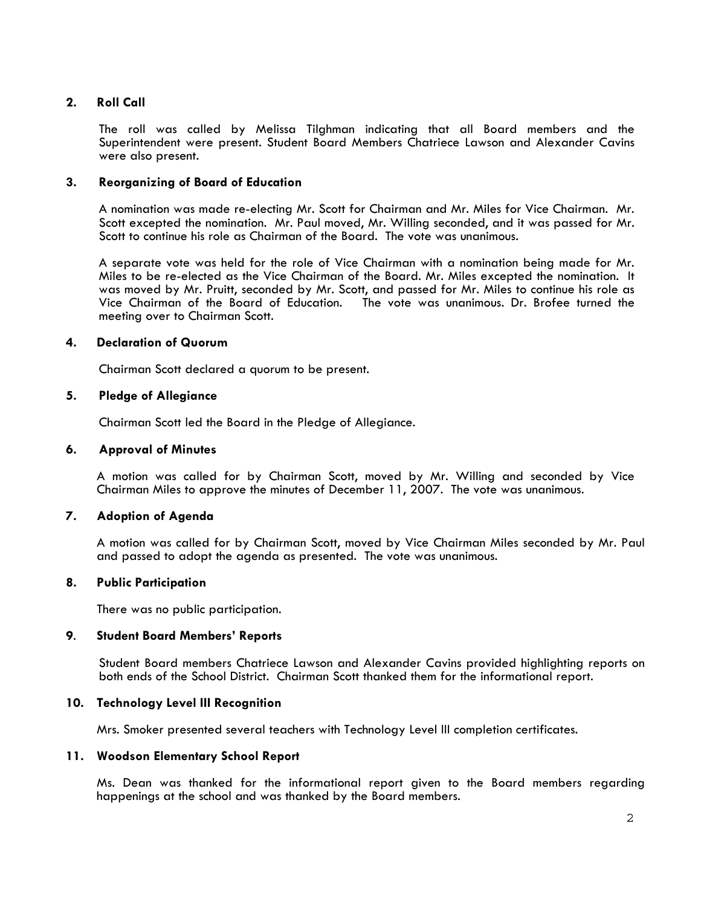# **2. Roll Call**

The roll was called by Melissa Tilghman indicating that all Board members and the Superintendent were present. Student Board Members Chatriece Lawson and Alexander Cavins were also present.

# **3. Reorganizing of Board of Education**

A nomination was made re-electing Mr. Scott for Chairman and Mr. Miles for Vice Chairman. Mr. Scott excepted the nomination. Mr. Paul moved, Mr. Willing seconded, and it was passed for Mr. Scott to continue his role as Chairman of the Board. The vote was unanimous.

A separate vote was held for the role of Vice Chairman with a nomination being made for Mr. Miles to be re-elected as the Vice Chairman of the Board. Mr. Miles excepted the nomination. It was moved by Mr. Pruitt, seconded by Mr. Scott, and passed for Mr. Miles to continue his role as Vice Chairman of the Board of Education. The vote was unanimous. Dr. Brofee turned the meeting over to Chairman Scott.

# **4. Declaration of Quorum**

Chairman Scott declared a quorum to be present.

## **5. Pledge of Allegiance**

Chairman Scott led the Board in the Pledge of Allegiance.

## **6. Approval of Minutes**

 A motion was called for by Chairman Scott, moved by Mr. Willing and seconded by Vice Chairman Miles to approve the minutes of December 11, 2007. The vote was unanimous.

# **7. Adoption of Agenda**

 A motion was called for by Chairman Scott, moved by Vice Chairman Miles seconded by Mr. Paul and passed to adopt the agenda as presented. The vote was unanimous.

### **8. Public Participation**

There was no public participation.

### **9**. **Student Board Members' Reports**

 Student Board members Chatriece Lawson and Alexander Cavins provided highlighting reports on both ends of the School District. Chairman Scott thanked them for the informational report.

**10. Technology Level III Recognition**<br>Mrs. Smoker presented several teachers with Technology Level III completion certificates.

### **11. Woodson Elementary School Report**

Ms. Dean was thanked for the informational report given to the Board members regarding happenings at the school and was thanked by the Board members.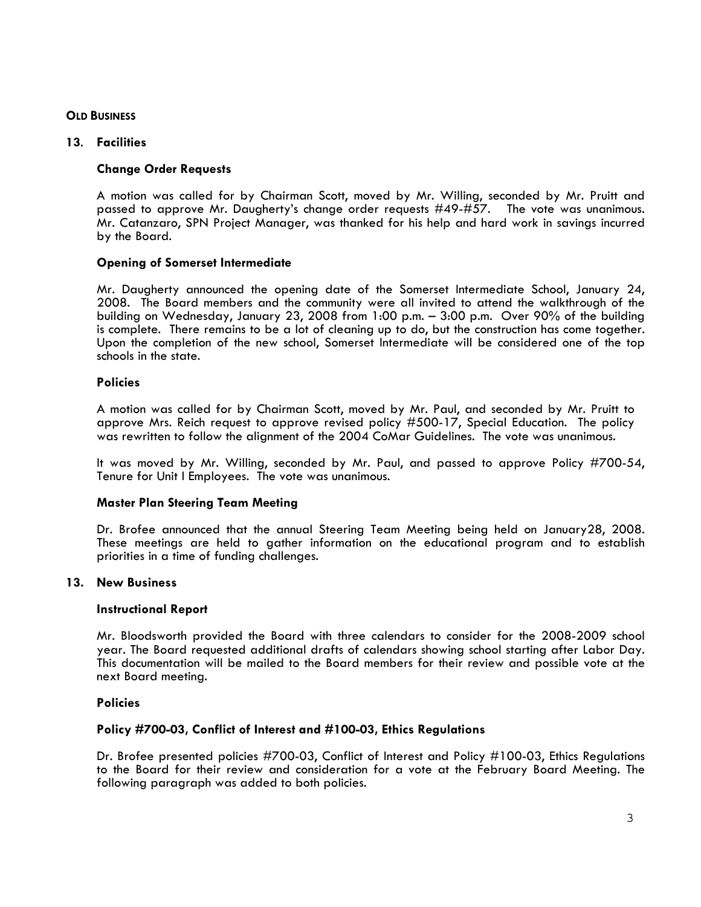# **OLD BUSINESS**

# **<sup>13</sup>**. **Facilities Change Order Requests**

A motion was called for by Chairman Scott, moved by Mr. Willing, seconded by Mr. Pruitt and passed to approve Mr. Daugherty's change order requests #49-#57. The vote was unanimous. Mr. Catanzaro, SPN Project Manager, was thanked for his help and hard work in savings incurred by the Board.

# **Opening of Somerset Intermediate**

Mr. Daugherty announced the opening date of the Somerset Intermediate School, January 24, 2008. The Board members and the community were all invited to attend the walkthrough of the building on Wednesday, January 23, 2008 from 1:00 p.m. – 3:00 p.m. Over 90% of the building is complete. There remains to be a lot of cleaning up to do, but the construction has come together. Upon the completion of the new school, Somerset Intermediate will be considered one of the top schools in the state.

# **Policies**

A motion was called for by Chairman Scott, moved by Mr. Paul, and seconded by Mr. Pruitt to approve Mrs. Reich request to approve revised policy #500-17, Special Education. The policy was rewritten to follow the alignment of the 2004 CoMar Guidelines. The vote was unanimous.

It was moved by Mr. Willing, seconded by Mr. Paul, and passed to approve Policy #700-54, Tenure for Unit I Employees. The vote was unanimous.

# **Master Plan Steering Team Meeting**

Dr. Brofee announced that the annual Steering Team Meeting being held on January28, 2008. These meetings are held to gather information on the educational program and to establish priorities in a time of funding challenges.

# **13. New Business**

### **Instructional Report**

Mr. Bloodsworth provided the Board with three calendars to consider for the 2008-2009 school year. The Board requested additional drafts of calendars showing school starting after Labor Day. This documentation will be mailed to the Board members for their review and possible vote at the next Board meeting.

# **Policies**

# **Policy #700-03, Conflict of Interest and #100-03, Ethics Regulations**

Dr. Brofee presented policies #700-03, Conflict of Interest and Policy #100-03, Ethics Regulations to the Board for their review and consideration for a vote at the February Board Meeting. The following paragraph was added to both policies.